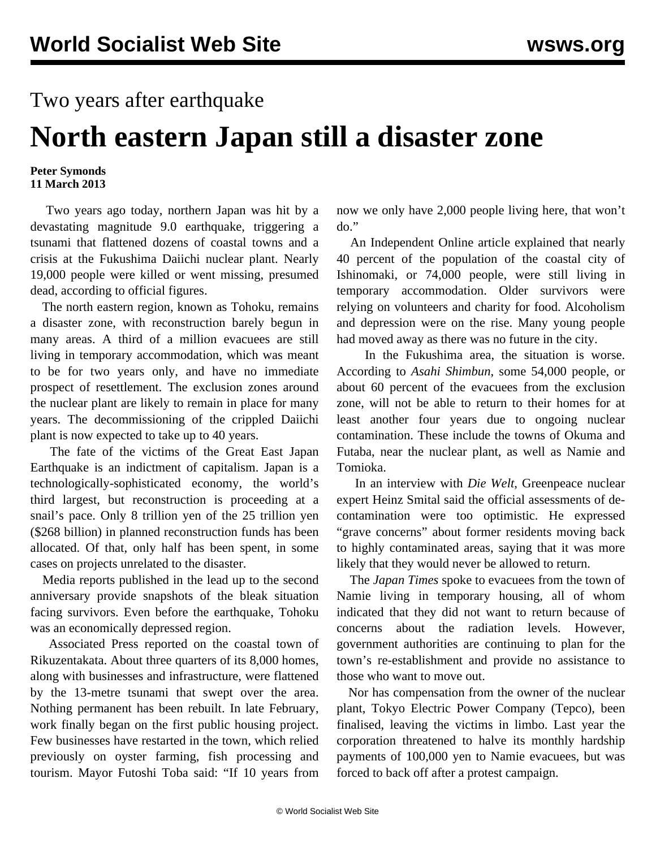## Two years after earthquake

## **North eastern Japan still a disaster zone**

## **Peter Symonds 11 March 2013**

 Two years ago today, northern Japan was hit by a devastating magnitude 9.0 earthquake, triggering a tsunami that flattened dozens of coastal towns and a crisis at the Fukushima Daiichi nuclear plant. Nearly 19,000 people were killed or went missing, presumed dead, according to official figures.

 The north eastern region, known as Tohoku, remains a disaster zone, with reconstruction barely begun in many areas. A third of a million evacuees are still living in temporary accommodation, which was meant to be for two years only, and have no immediate prospect of resettlement. The exclusion zones around the nuclear plant are likely to remain in place for many years. The decommissioning of the crippled Daiichi plant is now expected to take up to 40 years.

 The fate of the victims of the Great East Japan Earthquake is an indictment of capitalism. Japan is a technologically-sophisticated economy, the world's third largest, but reconstruction is proceeding at a snail's pace. Only 8 trillion yen of the 25 trillion yen (\$268 billion) in planned reconstruction funds has been allocated. Of that, only half has been spent, in some cases on projects unrelated to the disaster.

 Media reports published in the lead up to the second anniversary provide snapshots of the bleak situation facing survivors. Even before the earthquake, Tohoku was an economically depressed region.

 Associated Press reported on the coastal town of Rikuzentakata. About three quarters of its 8,000 homes, along with businesses and infrastructure, were flattened by the 13-metre tsunami that swept over the area. Nothing permanent has been rebuilt. In late February, work finally began on the first public housing project. Few businesses have restarted in the town, which relied previously on oyster farming, fish processing and tourism. Mayor Futoshi Toba said: "If 10 years from

now we only have 2,000 people living here, that won't do."

 An Independent Online article explained that nearly 40 percent of the population of the coastal city of Ishinomaki, or 74,000 people, were still living in temporary accommodation. Older survivors were relying on volunteers and charity for food. Alcoholism and depression were on the rise. Many young people had moved away as there was no future in the city.

 In the Fukushima area, the situation is worse. According to *Asahi Shimbun*, some 54,000 people, or about 60 percent of the evacuees from the exclusion zone, will not be able to return to their homes for at least another four years due to ongoing nuclear contamination. These include the towns of Okuma and Futaba, near the nuclear plant, as well as Namie and Tomioka.

 In an interview with *Die Welt*, Greenpeace nuclear expert Heinz Smital said the official assessments of decontamination were too optimistic. He expressed "grave concerns" about former residents moving back to highly contaminated areas, saying that it was more likely that they would never be allowed to return.

 The *Japan Times* spoke to evacuees from the town of Namie living in temporary housing, all of whom indicated that they did not want to return because of concerns about the radiation levels. However, government authorities are continuing to plan for the town's re-establishment and provide no assistance to those who want to move out.

 Nor has compensation from the owner of the nuclear plant, Tokyo Electric Power Company (Tepco), been finalised, leaving the victims in limbo. Last year the corporation threatened to halve its monthly hardship payments of 100,000 yen to Namie evacuees, but was forced to back off after a protest campaign.